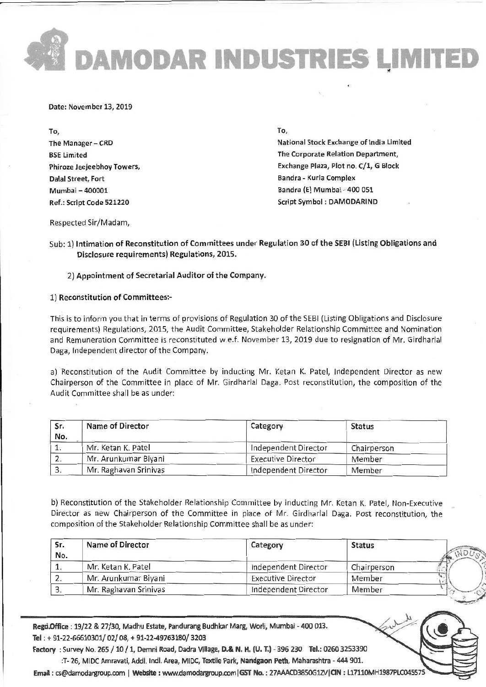DAMODAR INDUSTRIES LIMITE

Date: November 13,2019

To, The Manager - CRD **BSE** Limited Phiroze Jeeieebhoy Towers, Dalal Street, Fort Mumbai -400001 Ref,: Script code s21220

TO,

National Stock Exchange of India Limited The Corporate Relation Department, Exchange Plaza, Plot no. C/1, G Block Bandra - Kurla Complex Bandra (E) Mumbai- 400 0s1 Script Symbol : DAMODARIND

Respected Sir/Madam,

Sub: 1) Intimation of Reconstitution of Committees under Regulation 30 of the SEBI (Listing Obligations and Disclosure requirements) Regulations, 2015.

2) Appointment of Secretarial Auditor of the Company.

1) Reconstitution ot Committeesr

This is to inform you that in terms of provisions of Regulation 30 of the SEBI (Listing Obligations and Disclosure requirements) Regulations, 2015, the Audit committee, stakeholder Relationship committee and Nornination and Remuneration committee is reconstituted w.e.f. November 13, 2019 due to resignation of Mr. Girdharlal Daga, Independent director of the Company.

a) Reconstitution of the Audit Committee by inducting Mr. Ketan K. Patel, Independent Director as new chairperson of the committee in place of lMr. Girdharlal Daga. post reconstitution, the composition of the Audit Committee shall be as under:

| Sr.<br>No. | <b>Name of Director</b> | Category                  | <b>Status</b> |
|------------|-------------------------|---------------------------|---------------|
|            | Mr. Ketan K. Patel      | Independent Director      | Chairperson   |
| 2.         | Mr. Arunkumar Biyani    | <b>Executive Director</b> | Member        |
| 3.         | Mr. Raghavan Srinivas   | Independent Director      | Member        |

b) Reconstitution of the Stakeholder Relationship Committee by inducting Mr. Ketan K. Patel, Non-Executive Director as new Chairperson of the Committee in place of Mr. Girdharlal Daga. Post reconstitution, the composition of the Stakeholder Relationship Committee shall be as under:

| Sr.<br>No. | <b>Name of Director</b> | Category             | <b>Status</b> |  |
|------------|-------------------------|----------------------|---------------|--|
|            | Mr. Ketan K. Patel      | Independent Director | Chairperson   |  |
|            | Mr. Arunkumar Biyani    | Executive Director   | Member        |  |
|            | Mr. Raghavan Srinivas   | Independent Director | Member        |  |

Regd.Office : 19/22 & 27/30, Madhu Estate, Pandurang Budhkar Marg, Worli, Mumbai - 400 013. Tel : + 91-22-66610301/ 02/ 08, + 91-22-49763180/ 3203

Factory : Survey No. 265 / 10 / 1, Demni Road, Dadra Village, D.& N. H. (U. T.) - 396 230 Tel.: 0260 3253390 :T- 26, MIDC Amravati, Addi. Indl. Area, MIDC, Textile Park, Nandgaon Peth, Maharashtra - 444 901.

Email: cs@damodargroup.com | Website: www.damodargroup.com | GST No.: 27AAACD3850G1ZV | CIN:L17110MH1987PLC045575